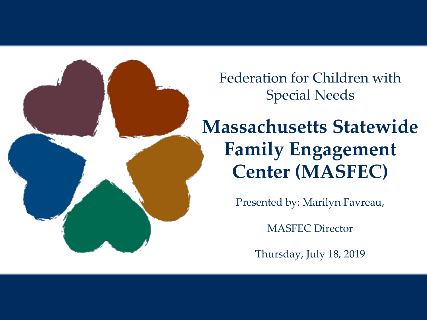Federation for Children with Special Needs

# **Massachusetts Statewide Family Engagement Center (MASFEC)**

Presented by: Marilyn Favreau,

MASFEC Director

Thursday, July 18, 2019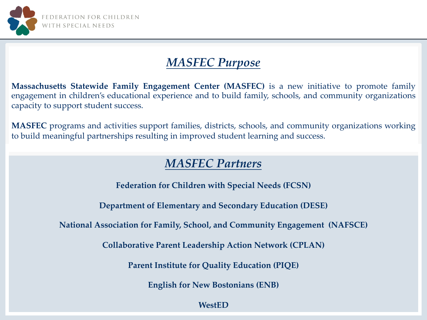

#### *MASFEC Purpose*

**Massachusetts Statewide Family Engagement Center (MASFEC)** is a new initiative to promote family engagement in children's educational experience and to build family, schools, and community organizations capacity to support student success.

**MASFEC** programs and activities support families, districts, schools, and community organizations working to build meaningful partnerships resulting in improved student learning and success.

#### *MASFEC Partners*

**Federation for Children with Special Needs (FCSN)**

**Department of Elementary and Secondary Education (DESE)**

**National Association for Family, School, and Community Engagement (NAFSCE)**

**Collaborative Parent Leadership Action Network (CPLAN)**

**Parent Institute for Quality Education (PIQE)**

**English for New Bostonians (ENB)**

**WestED**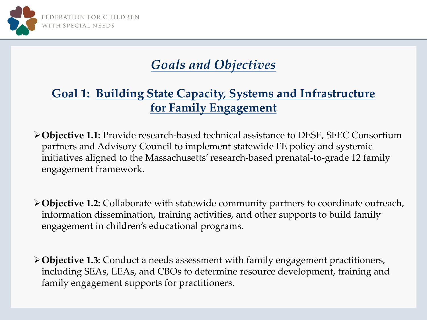

# *Goals and Objectives*

### **Goal 1: Building State Capacity, Systems and Infrastructure for Family Engagement**

Ø**Objective 1.1:** Provide research-based technical assistance to DESE, SFEC Consortium partners and Advisory Council to implement statewide FE policy and systemic initiatives aligned to the Massachusetts' research-based prenatal-to-grade 12 family engagement framework.

Ø**Objective 1.2:** Collaborate with statewide community partners to coordinate outreach, information dissemination, training activities, and other supports to build family engagement in children's educational programs.

Ø**Objective 1.3:** Conduct a needs assessment with family engagement practitioners, including SEAs, LEAs, and CBOs to determine resource development, training and family engagement supports for practitioners.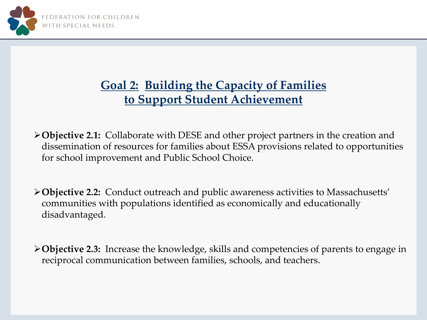

# **Goal 2: Building the Capacity of Families to Support Student Achievement**

Ø**Objective 2.1:** Collaborate with DESE and other project partners in the creation and dissemination of resources for families about ESSA provisions related to opportunities for school improvement and Public School Choice.

Ø**Objective 2.2:** Conduct outreach and public awareness activities to Massachusetts' communities with populations identified as economically and educationally disadvantaged.

Ø**Objective 2.3:** Increase the knowledge, skills and competencies of parents to engage in reciprocal communication between families, schools, and teachers.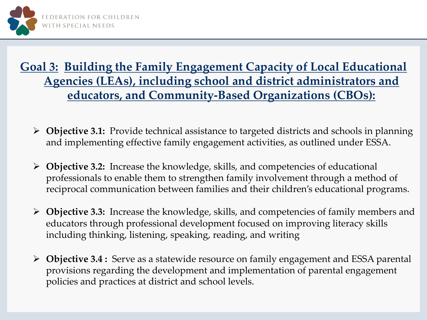

# **Goal 3: Building the Family Engagement Capacity of Local Educational Agencies (LEAs), including school and district administrators and educators, and Community-Based Organizations (CBOs):**

- Ø **Objective 3.1:** Provide technical assistance to targeted districts and schools in planning and implementing effective family engagement activities, as outlined under ESSA.
- Ø **Objective 3.2:** Increase the knowledge, skills, and competencies of educational professionals to enable them to strengthen family involvement through a method of reciprocal communication between families and their children's educational programs.
- Ø **Objective 3.3:** Increase the knowledge, skills, and competencies of family members and educators through professional development focused on improving literacy skills including thinking, listening, speaking, reading, and writing
- Ø **Objective 3.4 :** Serve as a statewide resource on family engagement and ESSA parental provisions regarding the development and implementation of parental engagement policies and practices at district and school levels.